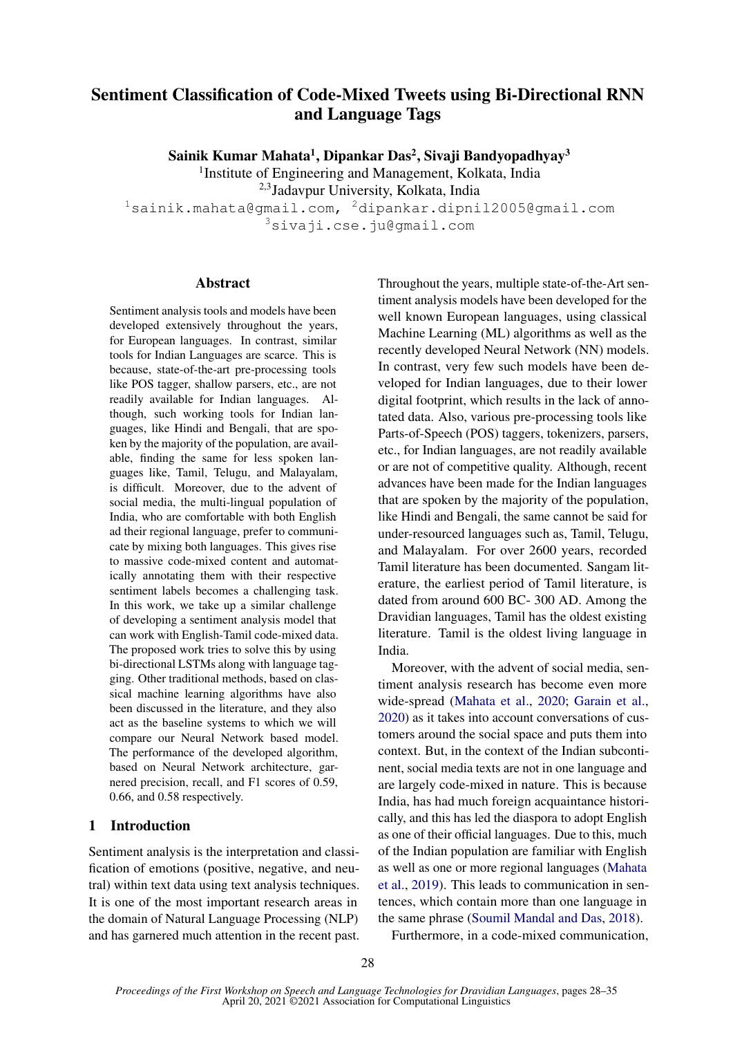# Sentiment Classification of Code-Mixed Tweets using Bi-Directional RNN and Language Tags

Sainik Kumar Mahata<sup>1</sup>, Dipankar Das<sup>2</sup>, Sivaji Bandyopadhyay<sup>3</sup>

<sup>1</sup>Institute of Engineering and Management, Kolkata, India

2,3Jadavpur University, Kolkata, India

 $1$ sainik.mahata@gmail.com,  $2$ dipankar.dipnil2005@gmail.com <sup>3</sup>sivaji.cse.ju@gmail.com

## Abstract

Sentiment analysis tools and models have been developed extensively throughout the years, for European languages. In contrast, similar tools for Indian Languages are scarce. This is because, state-of-the-art pre-processing tools like POS tagger, shallow parsers, etc., are not readily available for Indian languages. Although, such working tools for Indian languages, like Hindi and Bengali, that are spoken by the majority of the population, are available, finding the same for less spoken languages like, Tamil, Telugu, and Malayalam, is difficult. Moreover, due to the advent of social media, the multi-lingual population of India, who are comfortable with both English ad their regional language, prefer to communicate by mixing both languages. This gives rise to massive code-mixed content and automatically annotating them with their respective sentiment labels becomes a challenging task. In this work, we take up a similar challenge of developing a sentiment analysis model that can work with English-Tamil code-mixed data. The proposed work tries to solve this by using bi-directional LSTMs along with language tagging. Other traditional methods, based on classical machine learning algorithms have also been discussed in the literature, and they also act as the baseline systems to which we will compare our Neural Network based model. The performance of the developed algorithm, based on Neural Network architecture, garnered precision, recall, and F1 scores of 0.59, 0.66, and 0.58 respectively.

## 1 Introduction

Sentiment analysis is the interpretation and classification of emotions (positive, negative, and neutral) within text data using text analysis techniques. It is one of the most important research areas in the domain of Natural Language Processing (NLP) and has garnered much attention in the recent past.

Throughout the years, multiple state-of-the-Art sentiment analysis models have been developed for the well known European languages, using classical Machine Learning (ML) algorithms as well as the recently developed Neural Network (NN) models. In contrast, very few such models have been developed for Indian languages, due to their lower digital footprint, which results in the lack of annotated data. Also, various pre-processing tools like Parts-of-Speech (POS) taggers, tokenizers, parsers, etc., for Indian languages, are not readily available or are not of competitive quality. Although, recent advances have been made for the Indian languages that are spoken by the majority of the population, like Hindi and Bengali, the same cannot be said for under-resourced languages such as, Tamil, Telugu, and Malayalam. For over 2600 years, recorded Tamil literature has been documented. Sangam literature, the earliest period of Tamil literature, is dated from around 600 BC- 300 AD. Among the Dravidian languages, Tamil has the oldest existing literature. Tamil is the oldest living language in India.

Moreover, with the advent of social media, sentiment analysis research has become even more wide-spread [\(Mahata et al.,](#page-6-0) [2020;](#page-6-0) [Garain et al.,](#page-6-1) [2020\)](#page-6-1) as it takes into account conversations of customers around the social space and puts them into context. But, in the context of the Indian subcontinent, social media texts are not in one language and are largely code-mixed in nature. This is because India, has had much foreign acquaintance historically, and this has led the diaspora to adopt English as one of their official languages. Due to this, much of the Indian population are familiar with English as well as one or more regional languages [\(Mahata](#page-6-2) [et al.,](#page-6-2) [2019\)](#page-6-2). This leads to communication in sentences, which contain more than one language in the same phrase [\(Soumil Mandal and Das,](#page-7-0) [2018\)](#page-7-0).

Furthermore, in a code-mixed communication,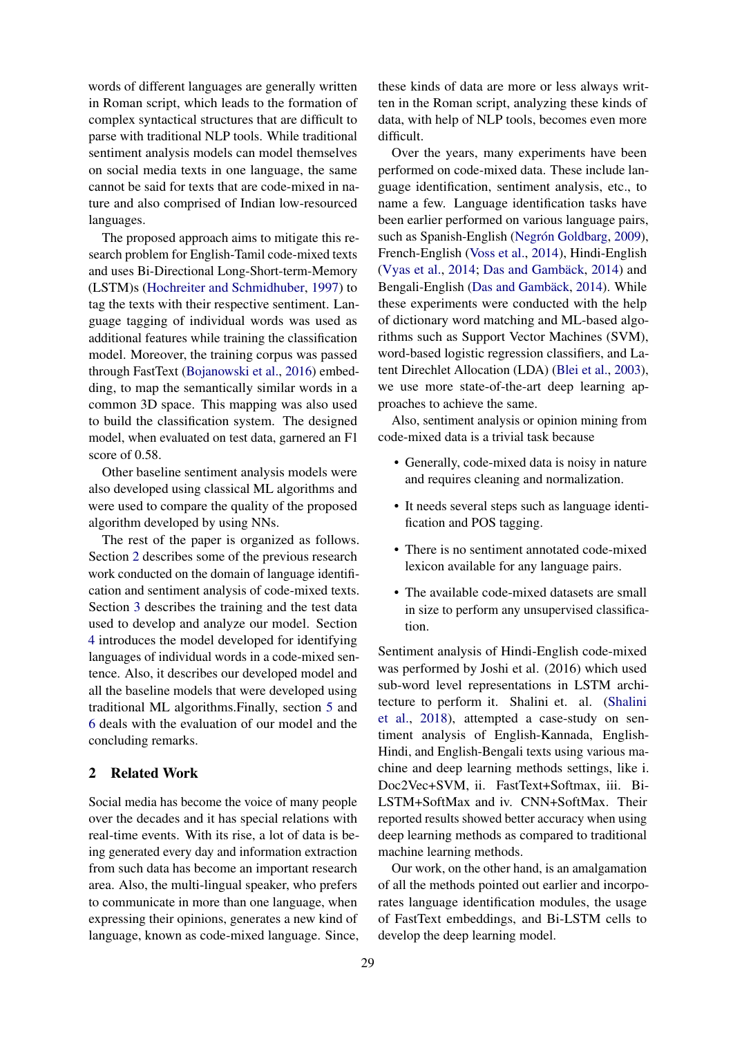words of different languages are generally written in Roman script, which leads to the formation of complex syntactical structures that are difficult to parse with traditional NLP tools. While traditional sentiment analysis models can model themselves on social media texts in one language, the same cannot be said for texts that are code-mixed in nature and also comprised of Indian low-resourced languages.

The proposed approach aims to mitigate this research problem for English-Tamil code-mixed texts and uses Bi-Directional Long-Short-term-Memory (LSTM)s [\(Hochreiter and Schmidhuber,](#page-6-3) [1997\)](#page-6-3) to tag the texts with their respective sentiment. Language tagging of individual words was used as additional features while training the classification model. Moreover, the training corpus was passed through FastText [\(Bojanowski et al.,](#page-5-0) [2016\)](#page-5-0) embedding, to map the semantically similar words in a common 3D space. This mapping was also used to build the classification system. The designed model, when evaluated on test data, garnered an F1 score of 0.58.

Other baseline sentiment analysis models were also developed using classical ML algorithms and were used to compare the quality of the proposed algorithm developed by using NNs.

The rest of the paper is organized as follows. Section [2](#page-1-0) describes some of the previous research work conducted on the domain of language identification and sentiment analysis of code-mixed texts. Section [3](#page-2-0) describes the training and the test data used to develop and analyze our model. Section [4](#page-2-1) introduces the model developed for identifying languages of individual words in a code-mixed sentence. Also, it describes our developed model and all the baseline models that were developed using traditional ML algorithms.Finally, section [5](#page-4-0) and [6](#page-4-1) deals with the evaluation of our model and the concluding remarks.

## <span id="page-1-0"></span>2 Related Work

Social media has become the voice of many people over the decades and it has special relations with real-time events. With its rise, a lot of data is being generated every day and information extraction from such data has become an important research area. Also, the multi-lingual speaker, who prefers to communicate in more than one language, when expressing their opinions, generates a new kind of language, known as code-mixed language. Since,

these kinds of data are more or less always written in the Roman script, analyzing these kinds of data, with help of NLP tools, becomes even more difficult.

Over the years, many experiments have been performed on code-mixed data. These include language identification, sentiment analysis, etc., to name a few. Language identification tasks have been earlier performed on various language pairs, such as Spanish-English (Negrón Goldbarg, [2009\)](#page-7-1), French-English [\(Voss et al.,](#page-7-2) [2014\)](#page-7-2), Hindi-English [\(Vyas et al.,](#page-7-3)  $2014$ ; Das and Gambäck,  $2014$ ) and Bengali-English (Das and Gambäck, [2014\)](#page-6-4). While these experiments were conducted with the help of dictionary word matching and ML-based algorithms such as Support Vector Machines (SVM), word-based logistic regression classifiers, and Latent Direchlet Allocation (LDA) [\(Blei et al.,](#page-5-1) [2003\)](#page-5-1), we use more state-of-the-art deep learning approaches to achieve the same.

Also, sentiment analysis or opinion mining from code-mixed data is a trivial task because

- Generally, code-mixed data is noisy in nature and requires cleaning and normalization.
- It needs several steps such as language identification and POS tagging.
- There is no sentiment annotated code-mixed lexicon available for any language pairs.
- The available code-mixed datasets are small in size to perform any unsupervised classification.

Sentiment analysis of Hindi-English code-mixed was performed by Joshi et al. (2016) which used sub-word level representations in LSTM architecture to perform it. Shalini et. al. [\(Shalini](#page-7-4) [et al.,](#page-7-4) [2018\)](#page-7-4), attempted a case-study on sentiment analysis of English-Kannada, English-Hindi, and English-Bengali texts using various machine and deep learning methods settings, like i. Doc2Vec+SVM, ii. FastText+Softmax, iii. Bi-LSTM+SoftMax and iv. CNN+SoftMax. Their reported results showed better accuracy when using deep learning methods as compared to traditional machine learning methods.

Our work, on the other hand, is an amalgamation of all the methods pointed out earlier and incorporates language identification modules, the usage of FastText embeddings, and Bi-LSTM cells to develop the deep learning model.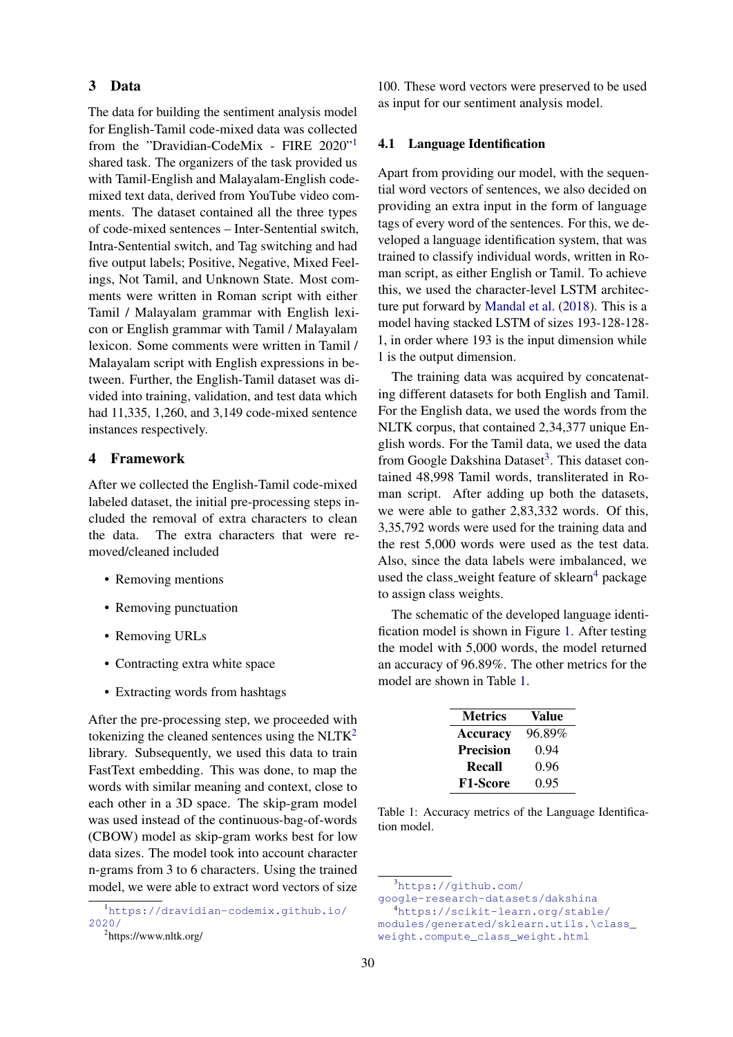## <span id="page-2-0"></span>3 Data

The data for building the sentiment analysis model for English-Tamil code-mixed data was collected from the "Dravidian-CodeMix - FIRE 2020"[1](#page-2-2) shared task. The organizers of the task provided us with Tamil-English and Malayalam-English codemixed text data, derived from YouTube video comments. The dataset contained all the three types of code-mixed sentences – Inter-Sentential switch, Intra-Sentential switch, and Tag switching and had five output labels; Positive, Negative, Mixed Feelings, Not Tamil, and Unknown State. Most comments were written in Roman script with either Tamil / Malayalam grammar with English lexicon or English grammar with Tamil / Malayalam lexicon. Some comments were written in Tamil / Malayalam script with English expressions in between. Further, the English-Tamil dataset was divided into training, validation, and test data which had 11,335, 1,260, and 3,149 code-mixed sentence instances respectively.

## <span id="page-2-1"></span>4 Framework

After we collected the English-Tamil code-mixed labeled dataset, the initial pre-processing steps included the removal of extra characters to clean the data. The extra characters that were removed/cleaned included

- Removing mentions
- Removing punctuation
- Removing URLs
- Contracting extra white space
- Extracting words from hashtags

After the pre-processing step, we proceeded with tokenizing the cleaned sentences using the  $NLTK<sup>2</sup>$  $NLTK<sup>2</sup>$  $NLTK<sup>2</sup>$ library. Subsequently, we used this data to train FastText embedding. This was done, to map the words with similar meaning and context, close to each other in a 3D space. The skip-gram model was used instead of the continuous-bag-of-words (CBOW) model as skip-gram works best for low data sizes. The model took into account character n-grams from 3 to 6 characters. Using the trained model, we were able to extract word vectors of size 100. These word vectors were preserved to be used as input for our sentiment analysis model.

#### 4.1 Language Identification

Apart from providing our model, with the sequential word vectors of sentences, we also decided on providing an extra input in the form of language tags of every word of the sentences. For this, we developed a language identification system, that was trained to classify individual words, written in Roman script, as either English or Tamil. To achieve this, we used the character-level LSTM architecture put forward by [Mandal et al.](#page-6-5) [\(2018\)](#page-6-5). This is a model having stacked LSTM of sizes 193-128-128- 1, in order where 193 is the input dimension while 1 is the output dimension.

The training data was acquired by concatenating different datasets for both English and Tamil. For the English data, we used the words from the NLTK corpus, that contained 2,34,377 unique English words. For the Tamil data, we used the data from Google Dakshina Dataset<sup>[3](#page-2-4)</sup>. This dataset contained 48,998 Tamil words, transliterated in Roman script. After adding up both the datasets, we were able to gather 2,83,332 words. Of this, 3,35,792 words were used for the training data and the rest 5,000 words were used as the test data. Also, since the data labels were imbalanced, we used the class weight feature of  $sklearn<sup>4</sup>$  $sklearn<sup>4</sup>$  $sklearn<sup>4</sup>$  package to assign class weights.

The schematic of the developed language identification model is shown in Figure [1.](#page-3-0) After testing the model with 5,000 words, the model returned an accuracy of 96.89%. The other metrics for the model are shown in Table [1.](#page-2-6)

<span id="page-2-6"></span>

| <b>Metrics</b>   | Value  |
|------------------|--------|
| <b>Accuracy</b>  | 96.89% |
| <b>Precision</b> | 0.94   |
| Recall           | 0.96   |
| <b>F1-Score</b>  | 0.95   |

Table 1: Accuracy metrics of the Language Identification model.

<span id="page-2-2"></span><sup>1</sup>[https://dravidian-codemix.github.io/](https://dravidian-codemix.github.io/2020/) [2020/](https://dravidian-codemix.github.io/2020/)

<span id="page-2-3"></span><sup>2</sup> https://www.nltk.org/

<span id="page-2-4"></span><sup>3</sup>[https://github.com/](https://github.com/google-research-datasets/dakshina)

[google-research-datasets/dakshina](https://github.com/google-research-datasets/dakshina)

<span id="page-2-5"></span><sup>4</sup>[https://scikit-learn.org/stable/](https://scikit-learn.org/stable/modules/generated/sklearn.utils.\class_weight.compute_class_weight.html) [modules/generated/sklearn.utils.\class\\_](https://scikit-learn.org/stable/modules/generated/sklearn.utils.\class_weight.compute_class_weight.html) [weight.compute\\_class\\_weight.html](https://scikit-learn.org/stable/modules/generated/sklearn.utils.\class_weight.compute_class_weight.html)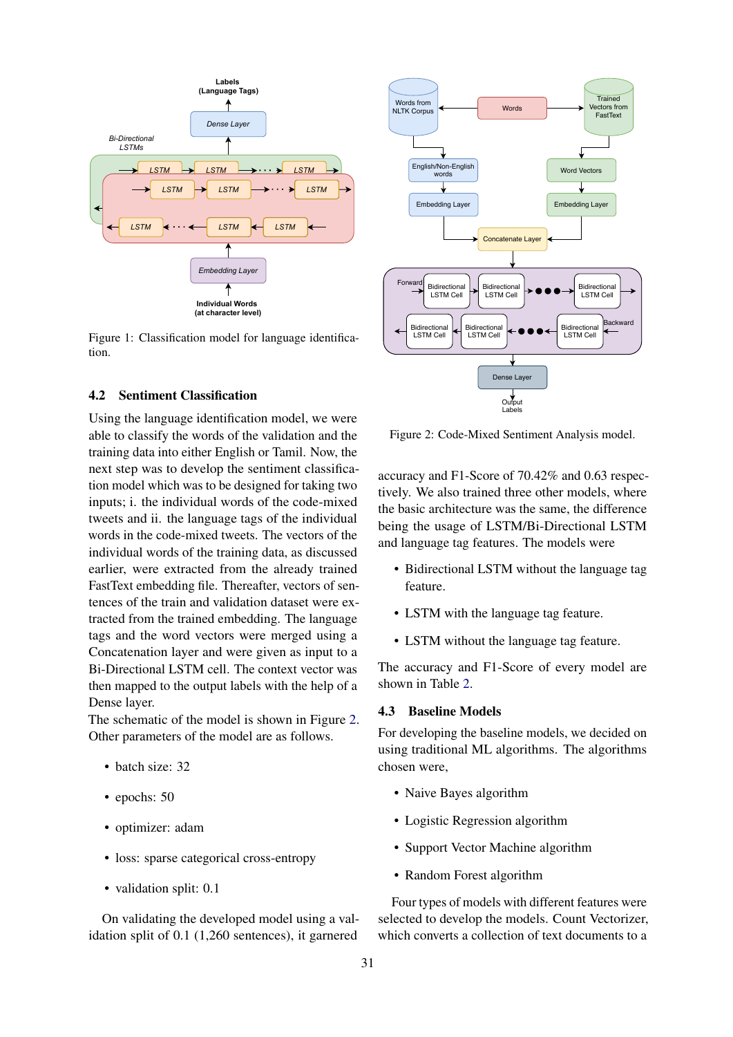<span id="page-3-0"></span>

Figure 1: Classification model for language identification.

## 4.2 Sentiment Classification

*Embedding Layer*<br>
Through Theoreton Havan<br>
Through Theoreton Havan<br>
and Words<br>
at character level)<br>
In model for language identifica-<br>
susfication<br>
incertical condition and the<br>
electrical condition and the<br>
electrical c Using the language identification model, we were able to classify the words of the validation and the training data into either English or Tamil. Now, the next step was to develop the sentiment classification model which was to be designed for taking two inputs; i. the individual words of the code-mixed tweets and ii. the language tags of the individual words in the code-mixed tweets. The vectors of the individual words of the training data, as discussed earlier, were extracted from the already trained FastText embedding file. Thereafter, vectors of sentences of the train and validation dataset were extracted from the trained embedding. The language tags and the word vectors were merged using a Concatenation layer and were given as input to a Bi-Directional LSTM cell. The context vector was then mapped to the output labels with the help of a Dense layer.

The schematic of the model is shown in Figure [2.](#page-3-1) Other parameters of the model are as follows.

- batch size: 32
- epochs: 50
- optimizer: adam
- loss: sparse categorical cross-entropy
- validation split: 0.1

On validating the developed model using a validation split of 0.1 (1,260 sentences), it garnered

<span id="page-3-1"></span>

Figure 2: Code-Mixed Sentiment Analysis model.

accuracy and F1-Score of 70.42% and 0.63 respectively. We also trained three other models, where the basic architecture was the same, the difference being the usage of LSTM/Bi-Directional LSTM and language tag features. The models were

- Bidirectional LSTM without the language tag feature.
- LSTM with the language tag feature.
- LSTM without the language tag feature.

The accuracy and F1-Score of every model are shown in Table [2.](#page-4-2)

#### 4.3 Baseline Models

For developing the baseline models, we decided on using traditional ML algorithms. The algorithms chosen were,

- Naive Bayes algorithm
- Logistic Regression algorithm
- Support Vector Machine algorithm
- Random Forest algorithm

Four types of models with different features were selected to develop the models. Count Vectorizer, which converts a collection of text documents to a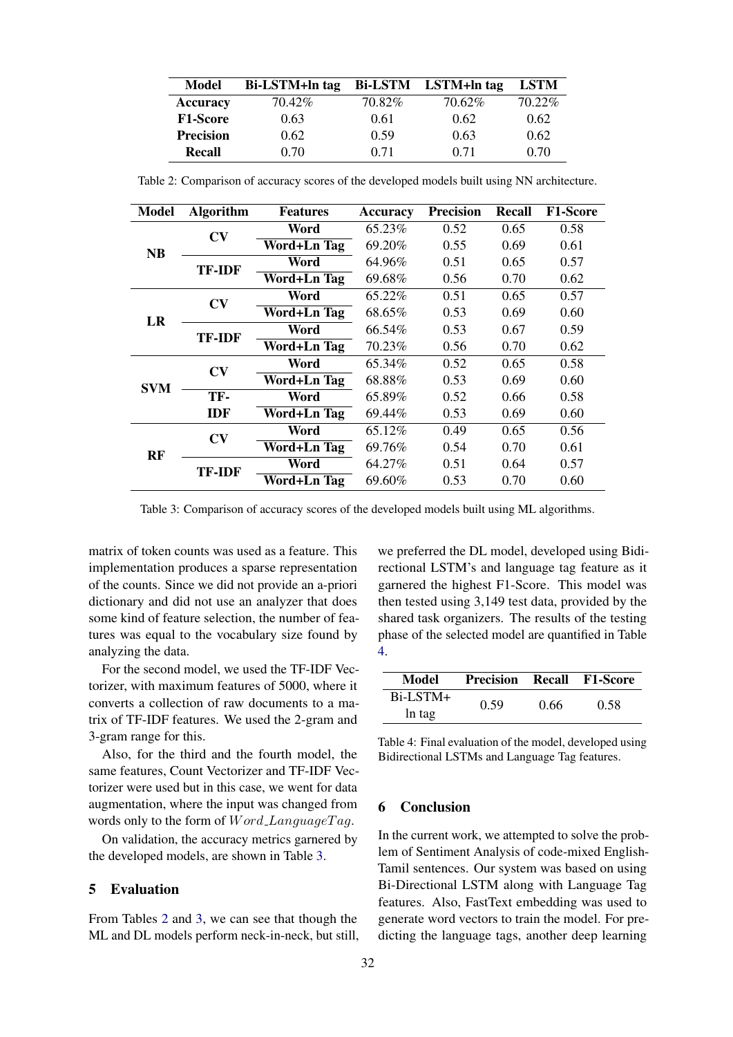<span id="page-4-2"></span>

| Model            | Bi-LSTM+ln tag |         | Bi-LSTM LSTM+ln tag | <b>LSTM</b> |
|------------------|----------------|---------|---------------------|-------------|
| Accuracy         | 70.42\%        | 70.82\% | 70.62%              | 70.22\%     |
| <b>F1-Score</b>  | 0.63           | 0.61    | 0.62                | 0.62        |
| <b>Precision</b> | 0.62           | 0.59    | 0.63                | 0.62        |
| Recall           | 0.70           | 0.71    | 0.71                | 0.70        |

<span id="page-4-3"></span>Model Algorithm Features Accuracy Precision Recall F1-Score NB  $CV$  Word 65.23% 0.52 0.65 0.58 Word+Ln Tag 69.20% 0.55 0.69 0.61 **TF-IDF** Word 64.96% 0.51 0.65 0.57<br> **TF-IDF** Word LET The 60.68% 0.56 0.70 0.63 Word+Ln Tag 69.68% 0.56 0.70 0.62 LR  $CV$  Word 65.22% 0.51 0.65 0.57 Word+Ln Tag 68.65% 0.53 0.69 0.60 **TF-IDF** Word 66.54% 0.53 0.67 0.59 Word+Ln Tag 70.23% 0.56 0.70 0.62 SVM  $CV$  Word 65.34% 0.52 0.65 0.58  $\overline{\text{Word+Ln Tag}}$  68.88% 0.53 0.69 0.60 TF-IDF Word 65.89% 0.52 0.66 0.58 Word+Ln Tag 69.44% 0.53 0.69 0.60 RF  $CV$  Word 65.12% 0.49 0.65 0.56 Word+Ln Tag 69.76% 0.54 0.70 0.61 **TF-IDF** Word 64.27% 0.51 0.64 0.57<br> **TF-IDF** Word LET The 60.60% 0.52 0.70 0.60  $\overline{\text{Word+Ln Tag}}$  69.60% 0.53 0.70 0.60

Table 2: Comparison of accuracy scores of the developed models built using NN architecture.

Table 3: Comparison of accuracy scores of the developed models built using ML algorithms.

matrix of token counts was used as a feature. This implementation produces a sparse representation of the counts. Since we did not provide an a-priori dictionary and did not use an analyzer that does some kind of feature selection, the number of features was equal to the vocabulary size found by analyzing the data.

For the second model, we used the TF-IDF Vectorizer, with maximum features of 5000, where it converts a collection of raw documents to a matrix of TF-IDF features. We used the 2-gram and 3-gram range for this.

Also, for the third and the fourth model, the same features, Count Vectorizer and TF-IDF Vectorizer were used but in this case, we went for data augmentation, where the input was changed from words only to the form of  $Word\_LanguageTag$ .

On validation, the accuracy metrics garnered by the developed models, are shown in Table [3.](#page-4-3)

## <span id="page-4-0"></span>5 Evaluation

From Tables [2](#page-4-2) and [3,](#page-4-3) we can see that though the ML and DL models perform neck-in-neck, but still,

we preferred the DL model, developed using Bidirectional LSTM's and language tag feature as it garnered the highest F1-Score. This model was then tested using 3,149 test data, provided by the shared task organizers. The results of the testing phase of the selected model are quantified in Table [4.](#page-4-4)

<span id="page-4-4"></span>

| Model       | <b>Precision Recall F1-Score</b> |      |      |  |
|-------------|----------------------------------|------|------|--|
| $Bi$ -LSTM+ | 0.59                             | 0.66 | 0.58 |  |
| ln tag      |                                  |      |      |  |

Table 4: Final evaluation of the model, developed using Bidirectional LSTMs and Language Tag features.

## <span id="page-4-1"></span>6 Conclusion

In the current work, we attempted to solve the problem of Sentiment Analysis of code-mixed English-Tamil sentences. Our system was based on using Bi-Directional LSTM along with Language Tag features. Also, FastText embedding was used to generate word vectors to train the model. For predicting the language tags, another deep learning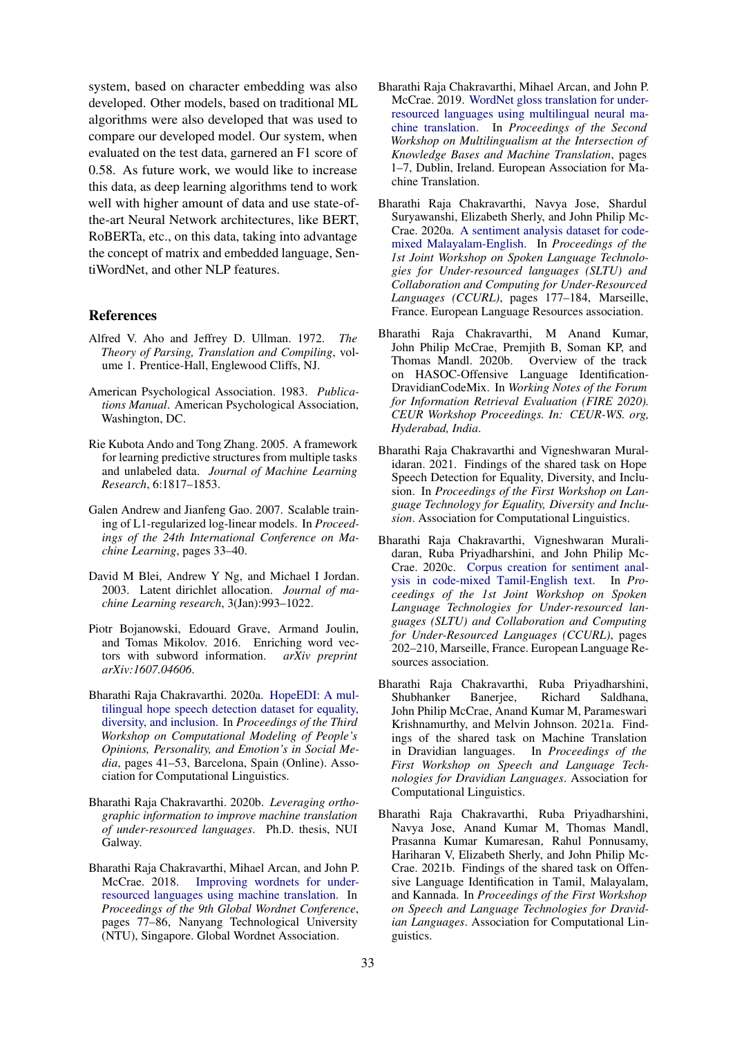system, based on character embedding was also developed. Other models, based on traditional ML algorithms were also developed that was used to compare our developed model. Our system, when evaluated on the test data, garnered an F1 score of 0.58. As future work, we would like to increase this data, as deep learning algorithms tend to work well with higher amount of data and use state-ofthe-art Neural Network architectures, like BERT, RoBERTa, etc., on this data, taking into advantage the concept of matrix and embedded language, SentiWordNet, and other NLP features.

## References

- Alfred V. Aho and Jeffrey D. Ullman. 1972. *The Theory of Parsing, Translation and Compiling*, volume 1. Prentice-Hall, Englewood Cliffs, NJ.
- American Psychological Association. 1983. *Publications Manual*. American Psychological Association, Washington, DC.
- Rie Kubota Ando and Tong Zhang. 2005. A framework for learning predictive structures from multiple tasks and unlabeled data. *Journal of Machine Learning Research*, 6:1817–1853.
- Galen Andrew and Jianfeng Gao. 2007. Scalable training of L1-regularized log-linear models. In *Proceedings of the 24th International Conference on Machine Learning*, pages 33–40.
- <span id="page-5-1"></span>David M Blei, Andrew Y Ng, and Michael I Jordan. 2003. Latent dirichlet allocation. *Journal of machine Learning research*, 3(Jan):993–1022.
- <span id="page-5-0"></span>Piotr Bojanowski, Edouard Grave, Armand Joulin, and Tomas Mikolov. 2016. Enriching word vectors with subword information. *arXiv preprint arXiv:1607.04606*.
- Bharathi Raja Chakravarthi. 2020a. [HopeEDI: A mul](https://www.aclweb.org/anthology/2020.peoples-1.5)[tilingual hope speech detection dataset for equality,](https://www.aclweb.org/anthology/2020.peoples-1.5) [diversity, and inclusion.](https://www.aclweb.org/anthology/2020.peoples-1.5) In *Proceedings of the Third Workshop on Computational Modeling of People's Opinions, Personality, and Emotion's in Social Media*, pages 41–53, Barcelona, Spain (Online). Association for Computational Linguistics.
- Bharathi Raja Chakravarthi. 2020b. *Leveraging orthographic information to improve machine translation of under-resourced languages*. Ph.D. thesis, NUI Galway.
- Bharathi Raja Chakravarthi, Mihael Arcan, and John P. McCrae. 2018. [Improving wordnets for under](https://www.aclweb.org/anthology/2018.gwc-1.10)[resourced languages using machine translation.](https://www.aclweb.org/anthology/2018.gwc-1.10) In *Proceedings of the 9th Global Wordnet Conference*, pages 77–86, Nanyang Technological University (NTU), Singapore. Global Wordnet Association.
- Bharathi Raja Chakravarthi, Mihael Arcan, and John P. McCrae. 2019. [WordNet gloss translation for under](https://www.aclweb.org/anthology/W19-7101)[resourced languages using multilingual neural ma](https://www.aclweb.org/anthology/W19-7101)[chine translation.](https://www.aclweb.org/anthology/W19-7101) In *Proceedings of the Second Workshop on Multilingualism at the Intersection of Knowledge Bases and Machine Translation*, pages 1–7, Dublin, Ireland. European Association for Machine Translation.
- Bharathi Raja Chakravarthi, Navya Jose, Shardul Suryawanshi, Elizabeth Sherly, and John Philip Mc-Crae. 2020a. [A sentiment analysis dataset for code](https://www.aclweb.org/anthology/2020.sltu-1.25)[mixed Malayalam-English.](https://www.aclweb.org/anthology/2020.sltu-1.25) In *Proceedings of the 1st Joint Workshop on Spoken Language Technologies for Under-resourced languages (SLTU) and Collaboration and Computing for Under-Resourced Languages (CCURL)*, pages 177–184, Marseille, France. European Language Resources association.
- Bharathi Raja Chakravarthi, M Anand Kumar, John Philip McCrae, Premjith B, Soman KP, and Thomas Mandl. 2020b. Overview of the track on HASOC-Offensive Language Identification-DravidianCodeMix. In *Working Notes of the Forum for Information Retrieval Evaluation (FIRE 2020). CEUR Workshop Proceedings. In: CEUR-WS. org, Hyderabad, India*.
- Bharathi Raja Chakravarthi and Vigneshwaran Muralidaran. 2021. Findings of the shared task on Hope Speech Detection for Equality, Diversity, and Inclusion. In *Proceedings of the First Workshop on Language Technology for Equality, Diversity and Inclusion*. Association for Computational Linguistics.
- Bharathi Raja Chakravarthi, Vigneshwaran Muralidaran, Ruba Priyadharshini, and John Philip Mc-Crae. 2020c. [Corpus creation for sentiment anal](https://www.aclweb.org/anthology/2020.sltu-1.28)[ysis in code-mixed Tamil-English text.](https://www.aclweb.org/anthology/2020.sltu-1.28) In *Proceedings of the 1st Joint Workshop on Spoken Language Technologies for Under-resourced languages (SLTU) and Collaboration and Computing for Under-Resourced Languages (CCURL)*, pages 202–210, Marseille, France. European Language Resources association.
- Bharathi Raja Chakravarthi, Ruba Priyadharshini, Shubhanker Banerjee, Richard Saldhana, John Philip McCrae, Anand Kumar M, Parameswari Krishnamurthy, and Melvin Johnson. 2021a. Findings of the shared task on Machine Translation in Dravidian languages. In *Proceedings of the First Workshop on Speech and Language Technologies for Dravidian Languages*. Association for Computational Linguistics.
- Bharathi Raja Chakravarthi, Ruba Priyadharshini, Navya Jose, Anand Kumar M, Thomas Mandl, Prasanna Kumar Kumaresan, Rahul Ponnusamy, Hariharan V, Elizabeth Sherly, and John Philip Mc-Crae. 2021b. Findings of the shared task on Offensive Language Identification in Tamil, Malayalam, and Kannada. In *Proceedings of the First Workshop on Speech and Language Technologies for Dravidian Languages*. Association for Computational Linguistics.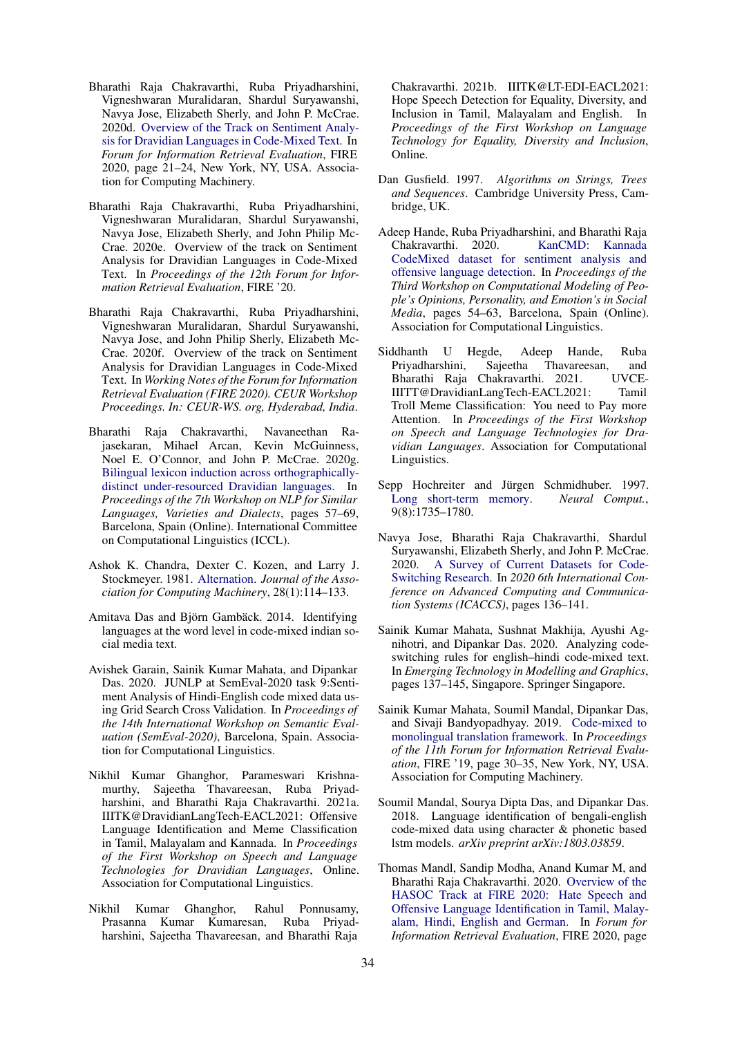- Bharathi Raja Chakravarthi, Ruba Priyadharshini, Vigneshwaran Muralidaran, Shardul Suryawanshi, Navya Jose, Elizabeth Sherly, and John P. McCrae. 2020d. [Overview of the Track on Sentiment Analy](https://doi.org/10.1145/3441501.3441515)[sis for Dravidian Languages in Code-Mixed Text.](https://doi.org/10.1145/3441501.3441515) In *Forum for Information Retrieval Evaluation*, FIRE 2020, page 21–24, New York, NY, USA. Association for Computing Machinery.
- Bharathi Raja Chakravarthi, Ruba Priyadharshini, Vigneshwaran Muralidaran, Shardul Suryawanshi, Navya Jose, Elizabeth Sherly, and John Philip Mc-Crae. 2020e. Overview of the track on Sentiment Analysis for Dravidian Languages in Code-Mixed Text. In *Proceedings of the 12th Forum for Information Retrieval Evaluation*, FIRE '20.
- Bharathi Raja Chakravarthi, Ruba Priyadharshini, Vigneshwaran Muralidaran, Shardul Suryawanshi, Navya Jose, and John Philip Sherly, Elizabeth Mc-Crae. 2020f. Overview of the track on Sentiment Analysis for Dravidian Languages in Code-Mixed Text. In *Working Notes of the Forum for Information Retrieval Evaluation (FIRE 2020). CEUR Workshop Proceedings. In: CEUR-WS. org, Hyderabad, India*.
- Bharathi Raja Chakravarthi, Navaneethan Rajasekaran, Mihael Arcan, Kevin McGuinness, Noel E. O'Connor, and John P. McCrae. 2020g. [Bilingual lexicon induction across orthographically](https://www.aclweb.org/anthology/2020.vardial-1.6)[distinct under-resourced Dravidian languages.](https://www.aclweb.org/anthology/2020.vardial-1.6) In *Proceedings of the 7th Workshop on NLP for Similar Languages, Varieties and Dialects*, pages 57–69, Barcelona, Spain (Online). International Committee on Computational Linguistics (ICCL).
- Ashok K. Chandra, Dexter C. Kozen, and Larry J. Stockmeyer. 1981. [Alternation.](https://doi.org/10.1145/322234.322243) *Journal of the Association for Computing Machinery*, 28(1):114–133.
- <span id="page-6-4"></span>Amitava Das and Björn Gambäck. 2014. Identifying languages at the word level in code-mixed indian social media text.
- <span id="page-6-1"></span>Avishek Garain, Sainik Kumar Mahata, and Dipankar Das. 2020. JUNLP at SemEval-2020 task 9:Sentiment Analysis of Hindi-English code mixed data using Grid Search Cross Validation. In *Proceedings of the 14th International Workshop on Semantic Evaluation (SemEval-2020)*, Barcelona, Spain. Association for Computational Linguistics.
- Nikhil Kumar Ghanghor, Parameswari Krishnamurthy, Sajeetha Thavareesan, Ruba Priyadharshini, and Bharathi Raja Chakravarthi. 2021a. IIITK@DravidianLangTech-EACL2021: Offensive Language Identification and Meme Classification in Tamil, Malayalam and Kannada. In *Proceedings of the First Workshop on Speech and Language Technologies for Dravidian Languages*, Online. Association for Computational Linguistics.
- Nikhil Kumar Ghanghor, Rahul Ponnusamy, Prasanna Kumar Kumaresan, Ruba Priyadharshini, Sajeetha Thavareesan, and Bharathi Raja

Chakravarthi. 2021b. IIITK@LT-EDI-EACL2021: Hope Speech Detection for Equality, Diversity, and Inclusion in Tamil, Malayalam and English. In *Proceedings of the First Workshop on Language Technology for Equality, Diversity and Inclusion*, Online.

- Dan Gusfield. 1997. *Algorithms on Strings, Trees and Sequences*. Cambridge University Press, Cambridge, UK.
- Adeep Hande, Ruba Priyadharshini, and Bharathi Raja Chakravarthi. 2020. [KanCMD: Kannada](https://www.aclweb.org/anthology/2020.peoples-1.6) [CodeMixed dataset for sentiment analysis and](https://www.aclweb.org/anthology/2020.peoples-1.6) [offensive language detection.](https://www.aclweb.org/anthology/2020.peoples-1.6) In *Proceedings of the Third Workshop on Computational Modeling of People's Opinions, Personality, and Emotion's in Social Media*, pages 54–63, Barcelona, Spain (Online). Association for Computational Linguistics.
- Siddhanth U Hegde, Adeep Hande, Ruba Priyadharshini, Sajeetha Thavareesan, and Bharathi Raja Chakravarthi. 2021. UVCE-IIITT@DravidianLangTech-EACL2021: Tamil Troll Meme Classification: You need to Pay more Attention. In *Proceedings of the First Workshop on Speech and Language Technologies for Dravidian Languages*. Association for Computational Linguistics.
- <span id="page-6-3"></span>Sepp Hochreiter and Jürgen Schmidhuber. 1997.<br>
Long short-term memory. Neural Comput., [Long short-term memory.](https://doi.org/10.1162/neco.1997.9.8.1735) 9(8):1735–1780.
- Navya Jose, Bharathi Raja Chakravarthi, Shardul Suryawanshi, Elizabeth Sherly, and John P. McCrae. 2020. [A Survey of Current Datasets for Code-](https://doi.org/10.1109/ICACCS48705.2020.9074205)[Switching Research.](https://doi.org/10.1109/ICACCS48705.2020.9074205) In *2020 6th International Conference on Advanced Computing and Communication Systems (ICACCS)*, pages 136–141.
- <span id="page-6-0"></span>Sainik Kumar Mahata, Sushnat Makhija, Ayushi Agnihotri, and Dipankar Das. 2020. Analyzing codeswitching rules for english–hindi code-mixed text. In *Emerging Technology in Modelling and Graphics*, pages 137–145, Singapore. Springer Singapore.
- <span id="page-6-2"></span>Sainik Kumar Mahata, Soumil Mandal, Dipankar Das, and Sivaji Bandyopadhyay. 2019. [Code-mixed to](https://doi.org/10.1145/3368567.3368579) [monolingual translation framework.](https://doi.org/10.1145/3368567.3368579) In *Proceedings of the 11th Forum for Information Retrieval Evaluation*, FIRE '19, page 30–35, New York, NY, USA. Association for Computing Machinery.
- <span id="page-6-5"></span>Soumil Mandal, Sourya Dipta Das, and Dipankar Das. 2018. Language identification of bengali-english code-mixed data using character & phonetic based lstm models. *arXiv preprint arXiv:1803.03859*.
- Thomas Mandl, Sandip Modha, Anand Kumar M, and Bharathi Raja Chakravarthi. 2020. [Overview of the](https://doi.org/10.1145/3441501.3441517) [HASOC Track at FIRE 2020: Hate Speech and](https://doi.org/10.1145/3441501.3441517) [Offensive Language Identification in Tamil, Malay](https://doi.org/10.1145/3441501.3441517)[alam, Hindi, English and German.](https://doi.org/10.1145/3441501.3441517) In *Forum for Information Retrieval Evaluation*, FIRE 2020, page